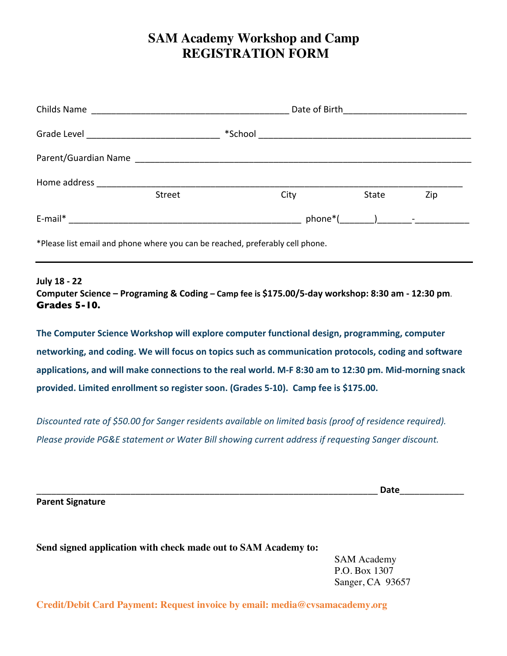# **SAM Academy Workshop and Camp REGISTRATION FORM**

| Childs Name  |                                                                                                                       |         | Date of Birth Management Control of Birth |  |       |     |  |
|--------------|-----------------------------------------------------------------------------------------------------------------------|---------|-------------------------------------------|--|-------|-----|--|
| Grade Level  | <u> 1989 - Jan James James James James James James James James James James James James James James James James Ja</u> | *School |                                           |  |       |     |  |
|              |                                                                                                                       |         |                                           |  |       |     |  |
| Home address | Street                                                                                                                |         | City                                      |  | State | Zip |  |
| E-mail*      |                                                                                                                       |         |                                           |  |       |     |  |

\*Please list email and phone where you can be reached, preferably cell phone.

### **July 18 - 22**

**Computer Science – Programing & Coding – Camp fee is \$175.00/5-day workshop: 8:30 am - 12:30 pm**. **Grades 5-10.** 

**The Computer Science Workshop will explore computer functional design, programming, computer networking, and coding. We will focus on topics such as communication protocols, coding and software applications, and will make connections to the real world. M-F 8:30 am to 12:30 pm. Mid-morning snack provided. Limited enrollment so register soon. (Grades 5-10). Camp fee is \$175.00.** 

*Discounted rate of \$50.00 for Sanger residents available on limited basis (proof of residence required). Please provide PG&E statement or Water Bill showing current address if requesting Sanger discount.* 

**Parent Signature**

\_\_\_\_\_\_\_\_\_\_\_\_\_\_\_\_\_\_\_\_\_\_\_\_\_\_\_\_\_\_\_\_\_\_\_\_\_\_\_\_\_\_\_\_\_\_\_\_\_\_\_\_\_\_\_\_\_\_\_\_\_\_\_\_\_\_\_\_\_ **Date**\_\_\_\_\_\_\_\_\_\_\_\_\_

**Send signed application with check made out to SAM Academy to:** 

SAM Academy P.O. Box 1307 Sanger, CA 93657

**Credit/Debit Card Payment: Request invoice by email: media@cvsamacademy.org**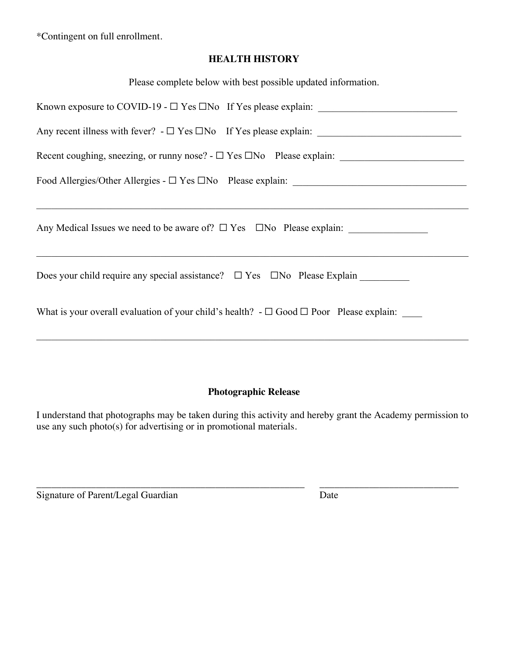\*Contingent on full enrollment.

## **HEALTH HISTORY**

| Please complete below with best possible updated information.                                          |
|--------------------------------------------------------------------------------------------------------|
|                                                                                                        |
|                                                                                                        |
|                                                                                                        |
|                                                                                                        |
|                                                                                                        |
| Any Medical Issues we need to be aware of? $\Box$ Yes $\Box$ No Please explain:                        |
|                                                                                                        |
| What is your overall evaluation of your child's health? $-\square$ Good $\square$ Poor Please explain: |
|                                                                                                        |

## **Photographic Release**

I understand that photographs may be taken during this activity and hereby grant the Academy permission to use any such photo(s) for advertising or in promotional materials.

\_\_\_\_\_\_\_\_\_\_\_\_\_\_\_\_\_\_\_\_\_\_\_\_\_\_\_\_\_\_\_\_\_\_\_\_\_\_\_\_\_\_\_\_\_\_\_\_\_\_\_\_\_\_ \_\_\_\_\_\_\_\_\_\_\_\_\_\_\_\_\_\_\_\_\_\_\_\_\_\_\_\_

Signature of Parent/Legal Guardian Date